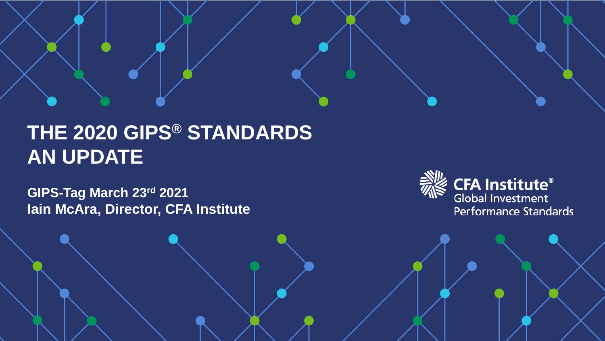# **THE 2020 GIPS® STANDARDS AN UPDATE**

**GIPS-Tag March 23rd 2021 Iain McAra, Director, CFA Institute**

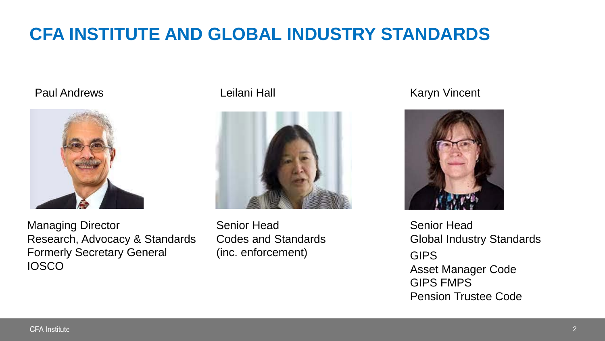# **CFA INSTITUTE AND GLOBAL INDUSTRY STANDARDS**



Managing Director Research, Advocacy & Standards Formerly Secretary General **IOSCO** 



Senior Head Codes and Standards (inc. enforcement)

#### Paul Andrews **Example 20 Find Andrews** Leilani Hall **Example 20 Find Andrews** Controllering Leilani Hall



Senior Head Global Industry Standards GIPS Asset Manager Code GIPS FMPS Pension Trustee Code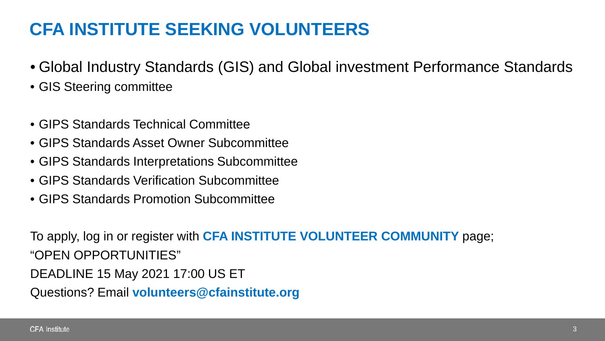## **CFA INSTITUTE SEEKING VOLUNTEERS**

- Global Industry Standards (GIS) and Global investment Performance Standards
- GIS Steering committee
- GIPS Standards Technical Committee
- GIPS Standards Asset Owner Subcommittee
- GIPS Standards Interpretations Subcommittee
- GIPS Standards Verification Subcommittee
- GIPS Standards Promotion Subcommittee

To apply, log in or register with **CFA INSTITUTE VOLUNTEER COMMUNITY** page; "OPEN OPPORTUNITIES" DEADLINE 15 May 2021 17:00 US ET Questions? Email **volunteers@cfainstitute.org**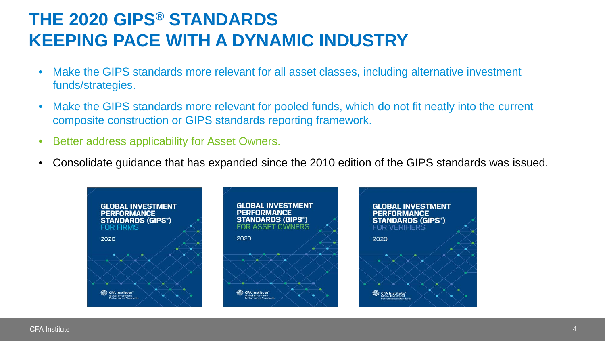### **THE 2020 GIPS® STANDARDS KEEPING PACE WITH A DYNAMIC INDUSTRY**

- Make the GIPS standards more relevant for all asset classes, including alternative investment funds/strategies.
- Make the GIPS standards more relevant for pooled funds, which do not fit neatly into the current composite construction or GIPS standards reporting framework.
- Better address applicability for Asset Owners.
- Consolidate guidance that has expanded since the 2010 edition of the GIPS standards was issued.

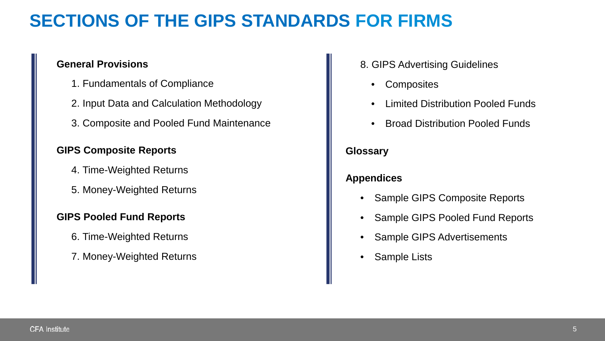## **SECTIONS OF THE GIPS STANDARDS FOR FIRMS**

#### **General Provisions**

- 1. Fundamentals of Compliance
- 2. Input Data and Calculation Methodology
- 3. Composite and Pooled Fund Maintenance

#### **GIPS Composite Reports**

- 4. Time-Weighted Returns
- 5. Money-Weighted Returns

#### **GIPS Pooled Fund Reports**

- 6. Time-Weighted Returns
- 7. Money-Weighted Returns
- 8. GIPS Advertising Guidelines
	- **Composites**
	- Limited Distribution Pooled Funds
	- Broad Distribution Pooled Funds

#### **Glossary**

#### **Appendices**

- Sample GIPS Composite Reports
- Sample GIPS Pooled Fund Reports
- Sample GIPS Advertisements
- **Sample Lists**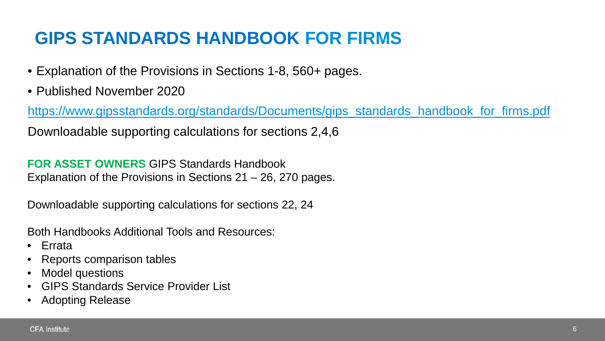# **GIPS STANDARDS HANDBOOK FOR FIRMS**

- Explanation of the Provisions in Sections 1-8, 560+ pages.
- Published November 2020

[https://www.gipsstandards.org/standards/Documents/gips\\_standards\\_handbook\\_for\\_firms.pdf](https://www.gipsstandards.org/standards/Documents/gips_standards_handbook_for_firms.pdf)

Downloadable supporting calculations for sections 2,4,6

**FOR ASSET OWNERS** GIPS Standards Handbook Explanation of the Provisions in Sections 21 – 26, 270 pages.

Downloadable supporting calculations for sections 22, 24

Both Handbooks Additional Tools and Resources:

- Errata
- Reports comparison tables
- Model questions
- GIPS Standards Service Provider List
- Adopting Release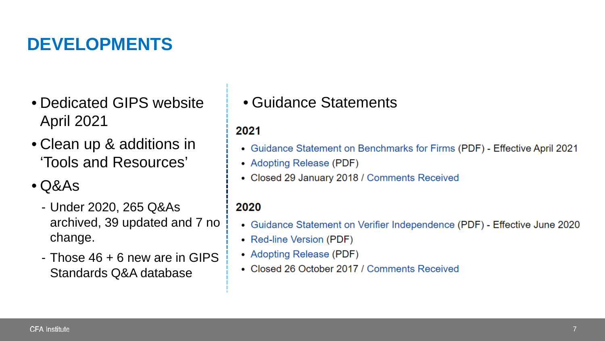## **DEVELOPMENTS**

- Dedicated GIPS website April 2021
- Clean up & additions in 'Tools and Resources'
- Q&As
	- Under 2020, 265 Q&As archived, 39 updated and 7 no change.
	- Those 46 + 6 new are in GIPS Standards Q&A database

• Guidance Statements

#### 2021

- Guidance Statement on Benchmarks for Firms (PDF) Effective April 2021
- Adopting Release (PDF)
- Closed 29 January 2018 / Comments Received

#### 2020

- Guidance Statement on Verifier Independence (PDF) Effective June 2020
- Red-line Version (PDF)
- Adopting Release (PDF)
- Closed 26 October 2017 / Comments Received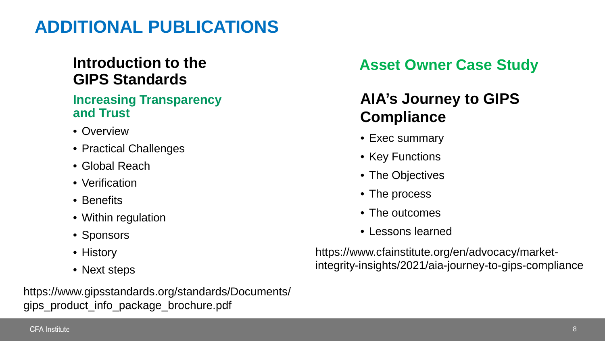### **ADDITIONAL PUBLICATIONS**

### **Introduction to the GIPS Standards**

#### **Increasing Transparency and Trust**

- Overview
- Practical Challenges
- Global Reach
- Verification
- Benefits
- Within regulation
- Sponsors
- History
- Next steps

https://www.gipsstandards.org/standards/Documents/ gips\_product\_info\_package\_brochure.pdf

### **Asset Owner Case Study**

### **AIA's Journey to GIPS Compliance**

- Exec summary
- Key Functions
- The Objectives
- The process
- The outcomes
- Lessons learned

https://www.cfainstitute.org/en/advocacy/marketintegrity-insights/2021/aia-journey-to-gips-compliance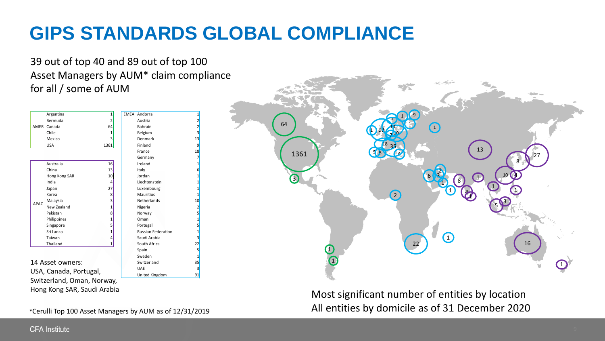# **GIPS STANDARDS GLOBAL COMPLIANCE**

 $91$ 

39 out of top 40 and 89 out of top 100 Asset Managers by AUM\* claim compliance for all / some of AUM

|                  | Argentina                   | $\mathbf{1}$    | <b>EMEA Andorra</b>       | $\overline{1}$ |
|------------------|-----------------------------|-----------------|---------------------------|----------------|
|                  | Bermuda                     | 2               | Austria                   | 2              |
|                  | AMER Canada                 | 64              | <b>Bahrain</b>            | $\overline{2}$ |
|                  | Chile                       | 1               | Belgium                   | 3              |
|                  | Mexico                      | 3               | Denmark                   | 13             |
|                  | <b>USA</b>                  | 1361            | Finland                   | 9              |
|                  |                             |                 | France                    | 18             |
|                  |                             |                 | Germany                   | 7              |
|                  | Australia                   | 16              | Ireland                   | $\overline{1}$ |
| APAC             | China                       | 13              | Italy                     | 6              |
|                  | Hong Kong SAR               | 10 <sup>1</sup> | Jordan                    | $\overline{1}$ |
|                  | India                       | 4               | Liechtenstein             | $\overline{1}$ |
|                  | Japan                       | 27              | Luxembourg                | $\overline{1}$ |
|                  | Korea                       | 8               | <b>Mauritius</b>          | $\overline{1}$ |
|                  | Malaysia                    | 3               | <b>Netherlands</b>        | 10             |
|                  | New Zealand                 | 1               | Nigeria                   | $\overline{2}$ |
|                  | Pakistan                    | 8               | Norway                    | 5              |
|                  | Philippines                 | 1               | Oman                      | $\overline{1}$ |
|                  | Singapore                   | 5               | Portugal                  | 5              |
|                  | Sri Lanka                   | 1               | <b>Russian Federation</b> | $\overline{1}$ |
|                  | Taiwan                      | 4               | Saudi Arabia              | 3              |
|                  | Thailand                    | 1               | South Africa              | 22             |
|                  |                             |                 | Spain                     | 5              |
|                  |                             |                 | Sweden                    | $\mathbf{1}$   |
| 14 Asset owners: |                             |                 | Switzerland               | 35             |
|                  | USA, Canada, Portugal,      |                 | <b>UAE</b>                | 3              |
|                  |                             |                 | United Kingdom            | 91             |
|                  | Switzerland, Oman, Norway,  |                 |                           |                |
|                  | Hong Kong SAR, Saudi Arabia |                 |                           |                |
|                  |                             |                 |                           |                |

\*Cerulli Top 100 Asset Managers by AUM as of 12/31/2019



Most significant number of entities by location All entities by domicile as of 31 December 2020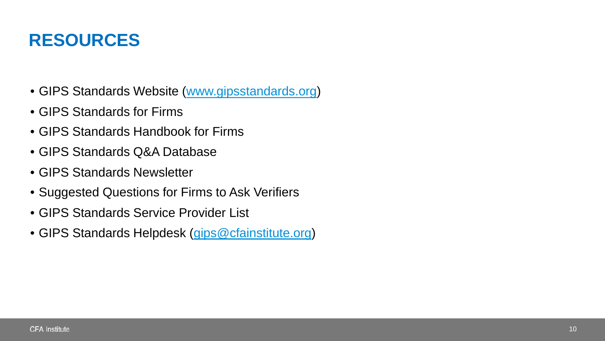### **RESOURCES**

- GIPS Standards Website ([www.gipsstandards.org\)](http://www.gipsstandards.org/)
- GIPS Standards for Firms
- GIPS Standards Handbook for Firms
- GIPS Standards Q&A Database
- GIPS Standards Newsletter
- Suggested Questions for Firms to Ask Verifiers
- GIPS Standards Service Provider List
- GIPS Standards Helpdesk [\(gips@cfainstitute.org](mailto:gips@cfainstitute.org))